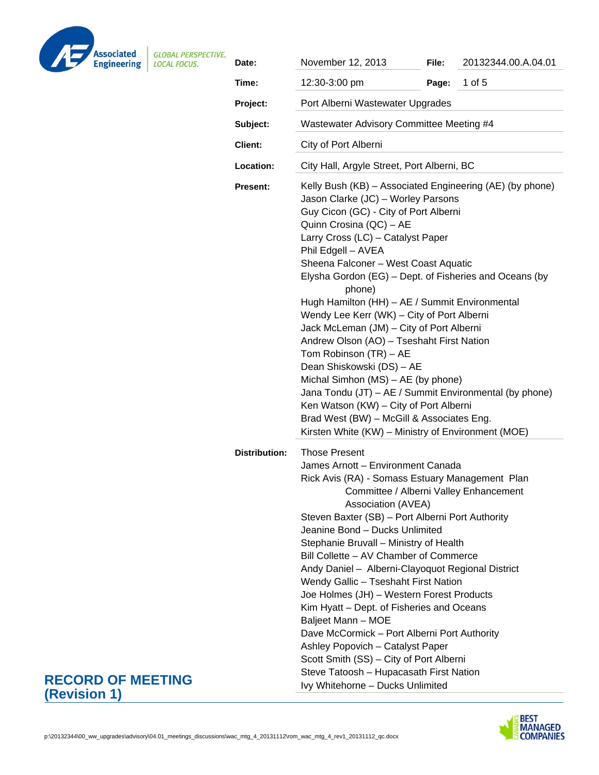

| VE. | Date:                | November 12, 2013                                                                                                                                                                                                                                                                                                                                                                                                                                                                                                                                                                                                                                                                                                                                                                                                                      | File: | 20132344.00.A.04.01 |  |
|-----|----------------------|----------------------------------------------------------------------------------------------------------------------------------------------------------------------------------------------------------------------------------------------------------------------------------------------------------------------------------------------------------------------------------------------------------------------------------------------------------------------------------------------------------------------------------------------------------------------------------------------------------------------------------------------------------------------------------------------------------------------------------------------------------------------------------------------------------------------------------------|-------|---------------------|--|
|     | Time:                | 12:30-3:00 pm                                                                                                                                                                                                                                                                                                                                                                                                                                                                                                                                                                                                                                                                                                                                                                                                                          | Page: | 1 of 5              |  |
|     | Project:             | Port Alberni Wastewater Upgrades                                                                                                                                                                                                                                                                                                                                                                                                                                                                                                                                                                                                                                                                                                                                                                                                       |       |                     |  |
|     | Subject:             | Wastewater Advisory Committee Meeting #4                                                                                                                                                                                                                                                                                                                                                                                                                                                                                                                                                                                                                                                                                                                                                                                               |       |                     |  |
|     | Client:              | City of Port Alberni                                                                                                                                                                                                                                                                                                                                                                                                                                                                                                                                                                                                                                                                                                                                                                                                                   |       |                     |  |
|     | Location:            | City Hall, Argyle Street, Port Alberni, BC                                                                                                                                                                                                                                                                                                                                                                                                                                                                                                                                                                                                                                                                                                                                                                                             |       |                     |  |
|     | <b>Present:</b>      | Kelly Bush (KB) - Associated Engineering (AE) (by phone)<br>Jason Clarke (JC) - Worley Parsons<br>Guy Cicon (GC) - City of Port Alberni<br>Quinn Crosina (QC) - AE<br>Larry Cross (LC) - Catalyst Paper<br>Phil Edgell - AVEA<br>Sheena Falconer - West Coast Aquatic<br>Elysha Gordon (EG) - Dept. of Fisheries and Oceans (by<br>phone)<br>Hugh Hamilton (HH) - AE / Summit Environmental<br>Wendy Lee Kerr (WK) - City of Port Alberni<br>Jack McLeman (JM) - City of Port Alberni<br>Andrew Olson (AO) - Tseshaht First Nation<br>Tom Robinson (TR) - AE<br>Dean Shiskowski (DS) - AE<br>Michal Simhon (MS) - AE (by phone)<br>Jana Tondu (JT) - AE / Summit Environmental (by phone)<br>Ken Watson (KW) - City of Port Alberni<br>Brad West (BW) - McGill & Associates Eng.<br>Kirsten White (KW) - Ministry of Environment (MOE) |       |                     |  |
|     | <b>Distribution:</b> | <b>Those Present</b><br>James Arnott - Environment Canada<br>Rick Avis (RA) - Somass Estuary Management Plan<br>Committee / Alberni Valley Enhancement<br>Association (AVEA)<br>Steven Baxter (SB) - Port Alberni Port Authority<br>Jeanine Bond - Ducks Unlimited<br>Stephanie Bruvall - Ministry of Health<br>Bill Collette – AV Chamber of Commerce<br>Andy Daniel - Alberni-Clayoquot Regional District<br>Wendy Gallic - Tseshaht First Nation<br>Joe Holmes (JH) - Western Forest Products<br>Kim Hyatt - Dept. of Fisheries and Oceans<br>Baljeet Mann - MOE<br>Dave McCormick - Port Alberni Port Authority<br>Ashley Popovich - Catalyst Paper<br>Scott Smith (SS) - City of Port Alberni<br>Steve Tatoosh - Hupacasath First Nation<br>Ivy Whitehorne - Ducks Unlimited                                                      |       |                     |  |

## **RECORD OF MEETING (Revision 1)**

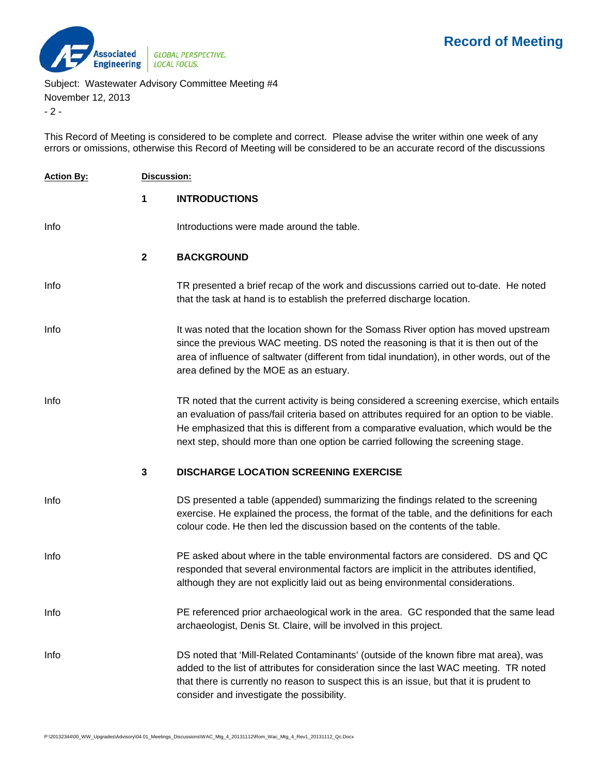

Subject: Wastewater Advisory Committee Meeting #4

November 12, 2013

- 2 -

This Record of Meeting is considered to be complete and correct. Please advise the writer within one week of any errors or omissions, otherwise this Record of Meeting will be considered to be an accurate record of the discussions

| <b>Action By:</b> | Discussion:  |                                                                                                                                                                                                                                                                                                                                                                          |  |  |
|-------------------|--------------|--------------------------------------------------------------------------------------------------------------------------------------------------------------------------------------------------------------------------------------------------------------------------------------------------------------------------------------------------------------------------|--|--|
|                   | 1            | <b>INTRODUCTIONS</b>                                                                                                                                                                                                                                                                                                                                                     |  |  |
| Info              |              | Introductions were made around the table.                                                                                                                                                                                                                                                                                                                                |  |  |
|                   | $\mathbf{2}$ | <b>BACKGROUND</b>                                                                                                                                                                                                                                                                                                                                                        |  |  |
| Info              |              | TR presented a brief recap of the work and discussions carried out to-date. He noted<br>that the task at hand is to establish the preferred discharge location.                                                                                                                                                                                                          |  |  |
| Info              |              | It was noted that the location shown for the Somass River option has moved upstream<br>since the previous WAC meeting. DS noted the reasoning is that it is then out of the<br>area of influence of saltwater (different from tidal inundation), in other words, out of the<br>area defined by the MOE as an estuary.                                                    |  |  |
| Info              |              | TR noted that the current activity is being considered a screening exercise, which entails<br>an evaluation of pass/fail criteria based on attributes required for an option to be viable.<br>He emphasized that this is different from a comparative evaluation, which would be the<br>next step, should more than one option be carried following the screening stage. |  |  |
|                   | $\mathbf{3}$ | <b>DISCHARGE LOCATION SCREENING EXERCISE</b>                                                                                                                                                                                                                                                                                                                             |  |  |
| Info              |              | DS presented a table (appended) summarizing the findings related to the screening<br>exercise. He explained the process, the format of the table, and the definitions for each<br>colour code. He then led the discussion based on the contents of the table.                                                                                                            |  |  |
| Info              |              | PE asked about where in the table environmental factors are considered. DS and QC<br>responded that several environmental factors are implicit in the attributes identified,<br>although they are not explicitly laid out as being environmental considerations.                                                                                                         |  |  |
| Info              |              | PE referenced prior archaeological work in the area. GC responded that the same lead<br>archaeologist, Denis St. Claire, will be involved in this project.                                                                                                                                                                                                               |  |  |
| Info              |              | DS noted that 'Mill-Related Contaminants' (outside of the known fibre mat area), was<br>added to the list of attributes for consideration since the last WAC meeting. TR noted<br>that there is currently no reason to suspect this is an issue, but that it is prudent to<br>consider and investigate the possibility.                                                  |  |  |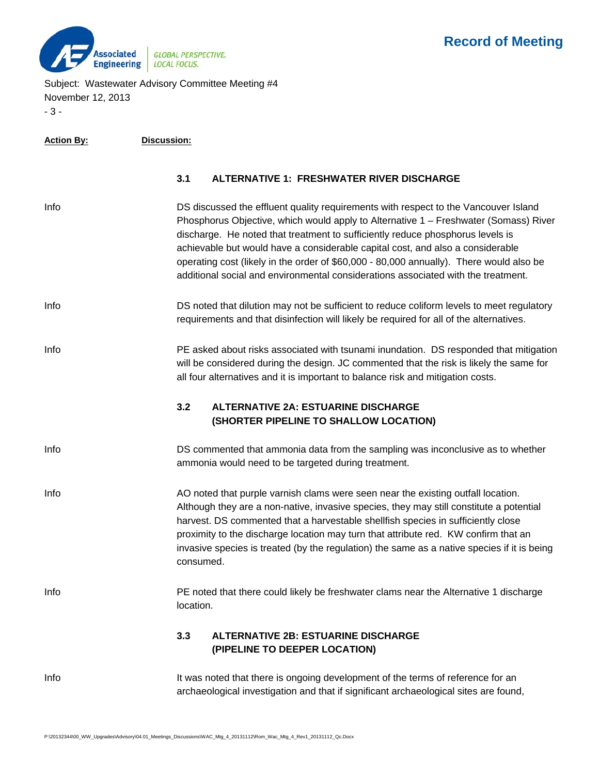

Subject: Wastewater Advisory Committee Meeting #4 November 12, 2013 - 3 -

| <u>Action By:</u> | Discussion:                                                                                                                                                                                                                                                                                                                                                                                                                                                                                                                     |
|-------------------|---------------------------------------------------------------------------------------------------------------------------------------------------------------------------------------------------------------------------------------------------------------------------------------------------------------------------------------------------------------------------------------------------------------------------------------------------------------------------------------------------------------------------------|
|                   | 3.1<br><b>ALTERNATIVE 1: FRESHWATER RIVER DISCHARGE</b>                                                                                                                                                                                                                                                                                                                                                                                                                                                                         |
| Info              | DS discussed the effluent quality requirements with respect to the Vancouver Island<br>Phosphorus Objective, which would apply to Alternative 1 - Freshwater (Somass) River<br>discharge. He noted that treatment to sufficiently reduce phosphorus levels is<br>achievable but would have a considerable capital cost, and also a considerable<br>operating cost (likely in the order of \$60,000 - 80,000 annually). There would also be<br>additional social and environmental considerations associated with the treatment. |
| Info              | DS noted that dilution may not be sufficient to reduce coliform levels to meet regulatory<br>requirements and that disinfection will likely be required for all of the alternatives.                                                                                                                                                                                                                                                                                                                                            |
| Info              | PE asked about risks associated with tsunami inundation. DS responded that mitigation<br>will be considered during the design. JC commented that the risk is likely the same for<br>all four alternatives and it is important to balance risk and mitigation costs.                                                                                                                                                                                                                                                             |
|                   | 3.2<br><b>ALTERNATIVE 2A: ESTUARINE DISCHARGE</b><br>(SHORTER PIPELINE TO SHALLOW LOCATION)                                                                                                                                                                                                                                                                                                                                                                                                                                     |
| Info              | DS commented that ammonia data from the sampling was inconclusive as to whether<br>ammonia would need to be targeted during treatment.                                                                                                                                                                                                                                                                                                                                                                                          |
| Info              | AO noted that purple varnish clams were seen near the existing outfall location.<br>Although they are a non-native, invasive species, they may still constitute a potential<br>harvest. DS commented that a harvestable shellfish species in sufficiently close<br>proximity to the discharge location may turn that attribute red. KW confirm that an<br>invasive species is treated (by the regulation) the same as a native species if it is being<br>consumed.                                                              |
| Info              | PE noted that there could likely be freshwater clams near the Alternative 1 discharge<br>location.                                                                                                                                                                                                                                                                                                                                                                                                                              |
|                   | 3.3<br><b>ALTERNATIVE 2B: ESTUARINE DISCHARGE</b><br>(PIPELINE TO DEEPER LOCATION)                                                                                                                                                                                                                                                                                                                                                                                                                                              |
| Info              | It was noted that there is ongoing development of the terms of reference for an<br>archaeological investigation and that if significant archaeological sites are found,                                                                                                                                                                                                                                                                                                                                                         |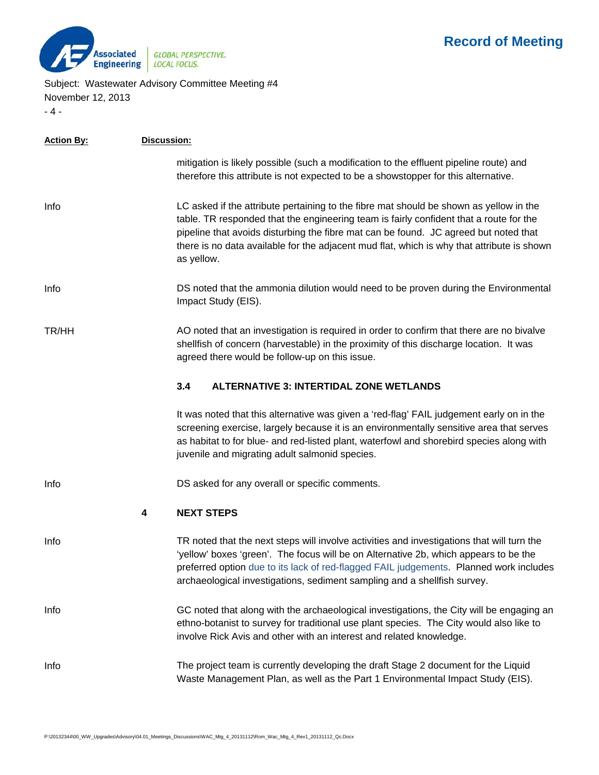

Subject: Wastewater Advisory Committee Meeting #4 November 12, 2013

- 4 -

| <b>Action By:</b> | Discussion: |                                                                                                                                                                                                                                                                                                                                                                                      |  |
|-------------------|-------------|--------------------------------------------------------------------------------------------------------------------------------------------------------------------------------------------------------------------------------------------------------------------------------------------------------------------------------------------------------------------------------------|--|
|                   |             | mitigation is likely possible (such a modification to the effluent pipeline route) and<br>therefore this attribute is not expected to be a showstopper for this alternative.                                                                                                                                                                                                         |  |
| Info              |             | LC asked if the attribute pertaining to the fibre mat should be shown as yellow in the<br>table. TR responded that the engineering team is fairly confident that a route for the<br>pipeline that avoids disturbing the fibre mat can be found. JC agreed but noted that<br>there is no data available for the adjacent mud flat, which is why that attribute is shown<br>as yellow. |  |
| Info              |             | DS noted that the ammonia dilution would need to be proven during the Environmental<br>Impact Study (EIS).                                                                                                                                                                                                                                                                           |  |
| TR/HH             |             | AO noted that an investigation is required in order to confirm that there are no bivalve<br>shellfish of concern (harvestable) in the proximity of this discharge location. It was<br>agreed there would be follow-up on this issue.                                                                                                                                                 |  |
|                   |             | 3.4<br><b>ALTERNATIVE 3: INTERTIDAL ZONE WETLANDS</b>                                                                                                                                                                                                                                                                                                                                |  |
|                   |             | It was noted that this alternative was given a 'red-flag' FAIL judgement early on in the<br>screening exercise, largely because it is an environmentally sensitive area that serves<br>as habitat to for blue- and red-listed plant, waterfowl and shorebird species along with<br>juvenile and migrating adult salmonid species.                                                    |  |
| Info              |             | DS asked for any overall or specific comments.                                                                                                                                                                                                                                                                                                                                       |  |
|                   | 4           | <b>NEXT STEPS</b>                                                                                                                                                                                                                                                                                                                                                                    |  |
| Info              |             | TR noted that the next steps will involve activities and investigations that will turn the<br>'yellow' boxes 'green'. The focus will be on Alternative 2b, which appears to be the<br>preferred option due to its lack of red-flagged FAIL judgements. Planned work includes<br>archaeological investigations, sediment sampling and a shellfish survey.                             |  |
| Info              |             | GC noted that along with the archaeological investigations, the City will be engaging an<br>ethno-botanist to survey for traditional use plant species. The City would also like to<br>involve Rick Avis and other with an interest and related knowledge.                                                                                                                           |  |
| Info              |             | The project team is currently developing the draft Stage 2 document for the Liquid<br>Waste Management Plan, as well as the Part 1 Environmental Impact Study (EIS).                                                                                                                                                                                                                 |  |